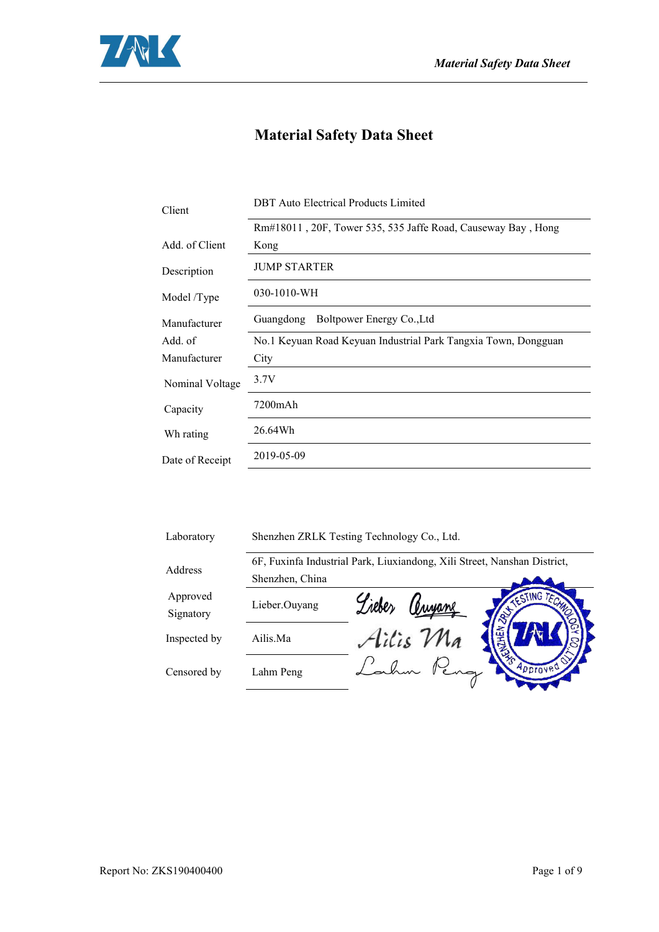

## **Material Safety Data Sheet**

| Client          | <b>DBT</b> Auto Electrical Products Limited                    |  |  |
|-----------------|----------------------------------------------------------------|--|--|
|                 | Rm#18011, 20F, Tower 535, 535 Jaffe Road, Causeway Bay, Hong   |  |  |
| Add. of Client  | Kong                                                           |  |  |
| Description     | <b>JUMP STARTER</b>                                            |  |  |
| Model /Type     | 030-1010-WH                                                    |  |  |
| Manufacturer    | Boltpower Energy Co., Ltd<br>Guangdong                         |  |  |
| Add. of         | No.1 Keyuan Road Keyuan Industrial Park Tangxia Town, Dongguan |  |  |
| Manufacturer    | City                                                           |  |  |
| Nominal Voltage | 3.7V                                                           |  |  |
| Capacity        | 7200mAh                                                        |  |  |
| Wh rating       | 26.64Wh                                                        |  |  |
| Date of Receipt | 2019-05-09                                                     |  |  |
|                 |                                                                |  |  |

| Laboratory            | Shenzhen ZRLK Testing Technology Co., Ltd. |                                                                          |  |
|-----------------------|--------------------------------------------|--------------------------------------------------------------------------|--|
| Address               |                                            | 6F, Fuxinfa Industrial Park, Liuxiandong, Xili Street, Nanshan District, |  |
|                       | Shenzhen, China                            |                                                                          |  |
| Approved<br>Signatory | Lieber.Ouyang                              | TESTING TEN<br>Liebe,<br>Trujane                                         |  |
| Inspected by          | Ailis.Ma                                   | Ailis Ma                                                                 |  |
| Censored by           | Lahm Peng                                  | Approved                                                                 |  |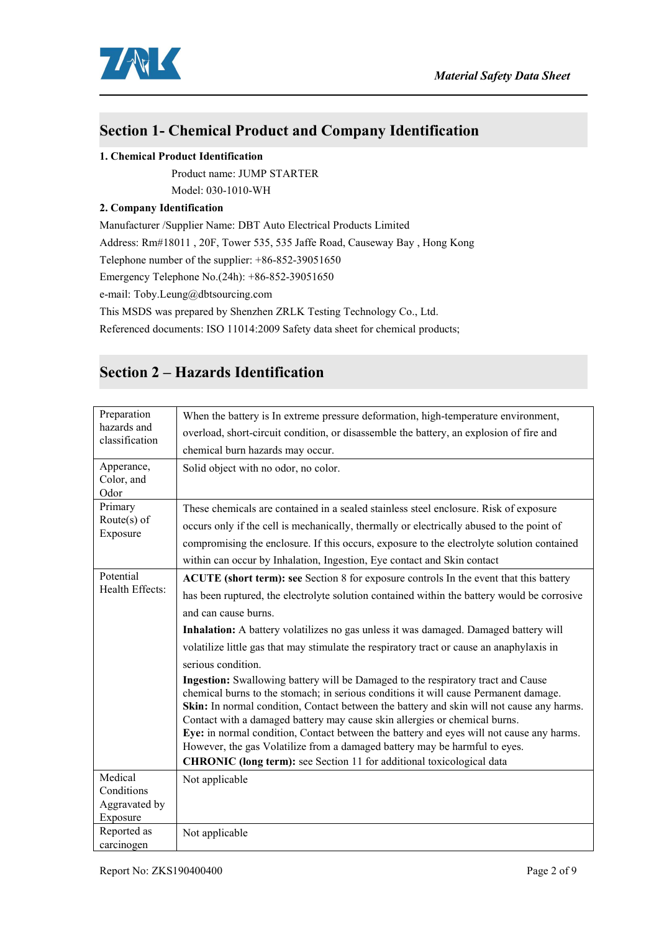

### **Section 1- Chemical Product and Company Identification**

#### **1. Chemical Product Identification**

Product name: JUMP STARTER

Model: 030-1010-WH

#### **2. Company Identification**

Manufacturer /Supplier Name: DBT Auto Electrical Products Limited

Address: Rm#18011 , 20F, Tower 535, 535 Jaffe Road,Causeway Bay , Hong Kong

Telephone number of the supplier: +86-852-39051650

Emergency Telephone No.(24h): +86-852-39051650

e-mail: Toby.Leung@dbtsourcing.com

This MSDS was prepared by Shenzhen ZRLK Testing Technology Co., Ltd.

Referenced documents: ISO 11014:2009 Safety data sheet for chemical products;

### **Section 2 – Hazards Identification**

| Preparation<br>hazards and<br>classification | When the battery is In extreme pressure deformation, high-temperature environment,                                                                                                                                                                                                                                                                                                                                                                                                                                                                                                                            |
|----------------------------------------------|---------------------------------------------------------------------------------------------------------------------------------------------------------------------------------------------------------------------------------------------------------------------------------------------------------------------------------------------------------------------------------------------------------------------------------------------------------------------------------------------------------------------------------------------------------------------------------------------------------------|
|                                              | overload, short-circuit condition, or disassemble the battery, an explosion of fire and                                                                                                                                                                                                                                                                                                                                                                                                                                                                                                                       |
|                                              | chemical burn hazards may occur.                                                                                                                                                                                                                                                                                                                                                                                                                                                                                                                                                                              |
| Apperance,<br>Color, and<br>Odor             | Solid object with no odor, no color.                                                                                                                                                                                                                                                                                                                                                                                                                                                                                                                                                                          |
| Primary                                      | These chemicals are contained in a sealed stainless steel enclosure. Risk of exposure                                                                                                                                                                                                                                                                                                                                                                                                                                                                                                                         |
| Route $(s)$ of                               | occurs only if the cell is mechanically, thermally or electrically abused to the point of                                                                                                                                                                                                                                                                                                                                                                                                                                                                                                                     |
| Exposure                                     | compromising the enclosure. If this occurs, exposure to the electrolyte solution contained                                                                                                                                                                                                                                                                                                                                                                                                                                                                                                                    |
|                                              | within can occur by Inhalation, Ingestion, Eye contact and Skin contact                                                                                                                                                                                                                                                                                                                                                                                                                                                                                                                                       |
| Potential                                    | ACUTE (short term): see Section 8 for exposure controls In the event that this battery                                                                                                                                                                                                                                                                                                                                                                                                                                                                                                                        |
| Health Effects:                              | has been ruptured, the electrolyte solution contained within the battery would be corrosive                                                                                                                                                                                                                                                                                                                                                                                                                                                                                                                   |
|                                              | and can cause burns.                                                                                                                                                                                                                                                                                                                                                                                                                                                                                                                                                                                          |
|                                              | Inhalation: A battery volatilizes no gas unless it was damaged. Damaged battery will                                                                                                                                                                                                                                                                                                                                                                                                                                                                                                                          |
|                                              | volatilize little gas that may stimulate the respiratory tract or cause an anaphylaxis in                                                                                                                                                                                                                                                                                                                                                                                                                                                                                                                     |
|                                              | serious condition.                                                                                                                                                                                                                                                                                                                                                                                                                                                                                                                                                                                            |
|                                              | Ingestion: Swallowing battery will be Damaged to the respiratory tract and Cause<br>chemical burns to the stomach; in serious conditions it will cause Permanent damage.<br>Skin: In normal condition, Contact between the battery and skin will not cause any harms.<br>Contact with a damaged battery may cause skin allergies or chemical burns.<br>Eye: in normal condition, Contact between the battery and eyes will not cause any harms.<br>However, the gas Volatilize from a damaged battery may be harmful to eyes.<br><b>CHRONIC</b> (long term): see Section 11 for additional toxicological data |
| Medical                                      | Not applicable                                                                                                                                                                                                                                                                                                                                                                                                                                                                                                                                                                                                |
| Conditions                                   |                                                                                                                                                                                                                                                                                                                                                                                                                                                                                                                                                                                                               |
| Aggravated by<br>Exposure                    |                                                                                                                                                                                                                                                                                                                                                                                                                                                                                                                                                                                                               |
| Reported as                                  | Not applicable                                                                                                                                                                                                                                                                                                                                                                                                                                                                                                                                                                                                |
| carcinogen                                   |                                                                                                                                                                                                                                                                                                                                                                                                                                                                                                                                                                                                               |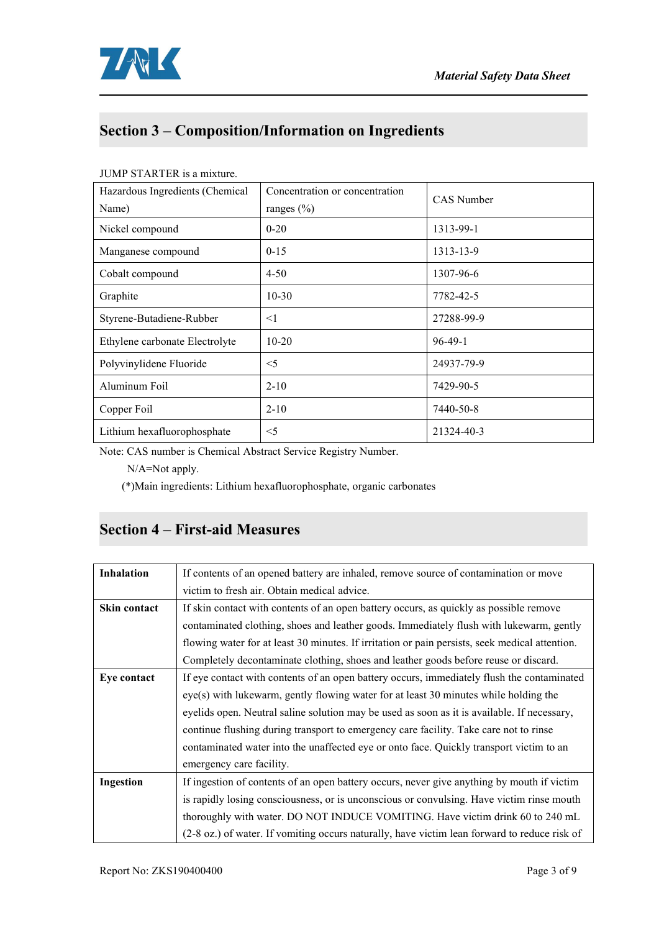

# **Section 3 – Composition/Information on Ingredients**

| Hazardous Ingredients (Chemical<br>Name) | Concentration or concentration<br>ranges $(\% )$ | <b>CAS</b> Number |
|------------------------------------------|--------------------------------------------------|-------------------|
| Nickel compound                          | $0 - 20$                                         | 1313-99-1         |
| Manganese compound                       | $0 - 15$                                         | 1313-13-9         |
| Cobalt compound                          | $4 - 50$                                         | 1307-96-6         |
| Graphite                                 | $10-30$                                          | 7782-42-5         |
| Styrene-Butadiene-Rubber                 | $\leq$ 1                                         | 27288-99-9        |
| Ethylene carbonate Electrolyte           | $10 - 20$                                        | $96-49-1$         |
| Polyvinylidene Fluoride                  | $<$ 5                                            | 24937-79-9        |
| Aluminum Foil                            | $2 - 10$                                         | 7429-90-5         |
| Copper Foil                              | $2 - 10$                                         | 7440-50-8         |
| Lithium hexafluorophosphate              | $<$ 5                                            | 21324-40-3        |

#### JUMP STARTER is a mixture.

Note: CAS number is Chemical Abstract Service Registry Number.

N/A=Not apply.

(\*)Main ingredients: Lithium hexafluorophosphate, organic carbonates

## **Section 4 – First-aid Measures**

| <b>Inhalation</b> | If contents of an opened battery are inhaled, remove source of contamination or move           |
|-------------------|------------------------------------------------------------------------------------------------|
|                   | victim to fresh air. Obtain medical advice.                                                    |
| Skin contact      | If skin contact with contents of an open battery occurs, as quickly as possible remove         |
|                   | contaminated clothing, shoes and leather goods. Immediately flush with lukewarm, gently        |
|                   | flowing water for at least 30 minutes. If irritation or pain persists, seek medical attention. |
|                   | Completely decontaminate clothing, shoes and leather goods before reuse or discard.            |
| Eye contact       | If eye contact with contents of an open battery occurs, immediately flush the contaminated     |
|                   | eye(s) with lukewarm, gently flowing water for at least 30 minutes while holding the           |
|                   | eyelids open. Neutral saline solution may be used as soon as it is available. If necessary,    |
|                   | continue flushing during transport to emergency care facility. Take care not to rinse          |
|                   | contaminated water into the unaffected eye or onto face. Quickly transport victim to an        |
|                   | emergency care facility.                                                                       |
| Ingestion         | If ingestion of contents of an open battery occurs, never give anything by mouth if victim     |
|                   | is rapidly losing consciousness, or is unconscious or convulsing. Have victim rinse mouth      |
|                   | thoroughly with water. DO NOT INDUCE VOMITING. Have victim drink 60 to 240 mL                  |
|                   | (2-8 oz.) of water. If vomiting occurs naturally, have victim lean forward to reduce risk of   |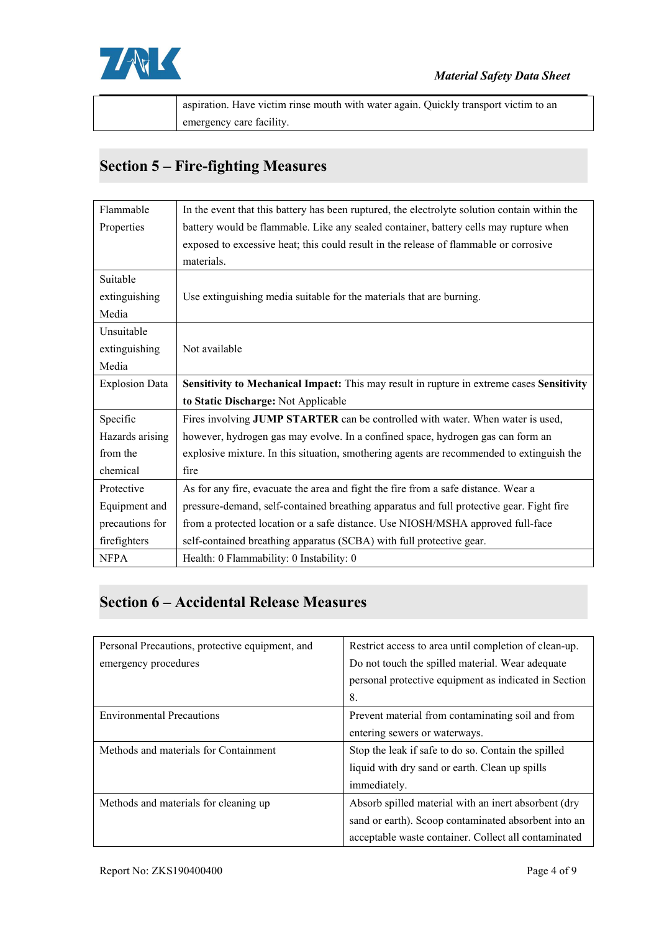

| . Have victim rinse mouth with water again. Ouickly transport victim to an<br>aspiration. |  |
|-------------------------------------------------------------------------------------------|--|
| emergency care facility.                                                                  |  |

## **Section 5 – Fire-fighting Measures**

| Flammable             | In the event that this battery has been ruptured, the electrolyte solution contain within the |
|-----------------------|-----------------------------------------------------------------------------------------------|
| Properties            | battery would be flammable. Like any sealed container, battery cells may rupture when         |
|                       | exposed to excessive heat; this could result in the release of flammable or corrosive         |
|                       | materials.                                                                                    |
| Suitable              |                                                                                               |
| extinguishing         | Use extinguishing media suitable for the materials that are burning.                          |
| Media                 |                                                                                               |
| Unsuitable            |                                                                                               |
| extinguishing         | Not available                                                                                 |
| Media                 |                                                                                               |
| <b>Explosion Data</b> | Sensitivity to Mechanical Impact: This may result in rupture in extreme cases Sensitivity     |
|                       | to Static Discharge: Not Applicable                                                           |
| Specific              | Fires involving JUMP STARTER can be controlled with water. When water is used,                |
| Hazards arising       | however, hydrogen gas may evolve. In a confined space, hydrogen gas can form an               |
| from the              | explosive mixture. In this situation, smothering agents are recommended to extinguish the     |
| chemical              | fire                                                                                          |
| Protective            | As for any fire, evacuate the area and fight the fire from a safe distance. Wear a            |
| Equipment and         | pressure-demand, self-contained breathing apparatus and full protective gear. Fight fire      |
| precautions for       | from a protected location or a safe distance. Use NIOSH/MSHA approved full-face               |
| firefighters          | self-contained breathing apparatus (SCBA) with full protective gear.                          |
| <b>NFPA</b>           | Health: 0 Flammability: 0 Instability: 0                                                      |

## **Section 6 – Accidental Release Measures**

| Personal Precautions, protective equipment, and | Restrict access to area until completion of clean-up. |
|-------------------------------------------------|-------------------------------------------------------|
| emergency procedures                            | Do not touch the spilled material. Wear adequate      |
|                                                 | personal protective equipment as indicated in Section |
|                                                 | 8.                                                    |
| <b>Environmental Precautions</b>                | Prevent material from contaminating soil and from     |
|                                                 | entering sewers or waterways.                         |
| Methods and materials for Containment           | Stop the leak if safe to do so. Contain the spilled   |
|                                                 | liquid with dry sand or earth. Clean up spills        |
|                                                 | immediately.                                          |
| Methods and materials for cleaning up           | Absorb spilled material with an inert absorbent (dry  |
|                                                 | sand or earth). Scoop contaminated absorbent into an  |
|                                                 | acceptable waste container. Collect all contaminated  |
|                                                 |                                                       |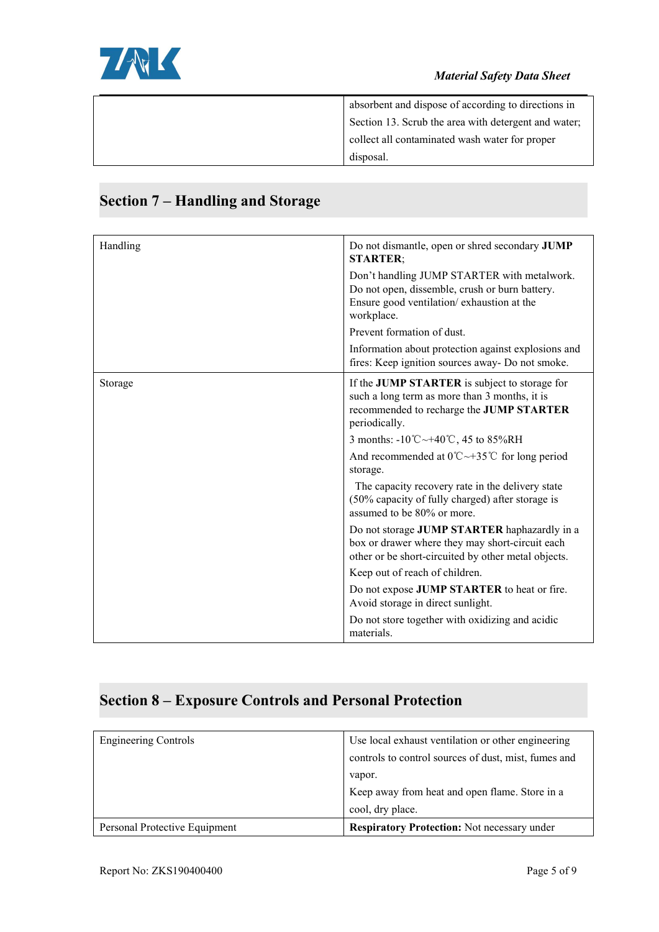

| absorbent and dispose of according to directions in  |  |
|------------------------------------------------------|--|
| Section 13. Scrub the area with detergent and water; |  |
| collect all contaminated wash water for proper       |  |
| disposal.                                            |  |

#### Handling **Handling** Do not dismantle, open or shred secondary **JUMP STARTER**; Don't handling JUMP STARTER with metalwork. Do not open, dissemble, crush or burn battery. Ensure good ventilation/ exhaustion at the workplace. Prevent formation of dust. Information about protection against explosions and fires: Keep ignition sources away- Do not smoke. **If the JUMP STARTER** is subject to storage for such a long term as more than 3 months, it is recommended to recharge the **JUMP STARTER** periodically. 3 months: -10℃~+40℃, 45 to 85%RH And recommended at 0℃~+35℃ for long period storage. The capacity recovery rate in the delivery state (50% capacity of fully charged) after storage is assumed to be 80% or more. Do not storage **JUMP STARTER** haphazardly in a box or drawer where they may short-circuit each other or be short-circuited by other metal objects. Keep out of reach of children. Do not expose **JUMP STARTER** to heat or fire. Avoid storage in direct sunlight. Do not store together with oxidizing and acidic

## **Section 7 – Handling and Storage**

#### **Section 8 – Exposure Controls and Personal Protection**

| <b>Engineering Controls</b>   | Use local exhaust ventilation or other engineering   |
|-------------------------------|------------------------------------------------------|
|                               | controls to control sources of dust, mist, fumes and |
|                               | vapor.                                               |
|                               | Keep away from heat and open flame. Store in a       |
|                               | cool, dry place.                                     |
| Personal Protective Equipment | <b>Respiratory Protection:</b> Not necessary under   |

materials.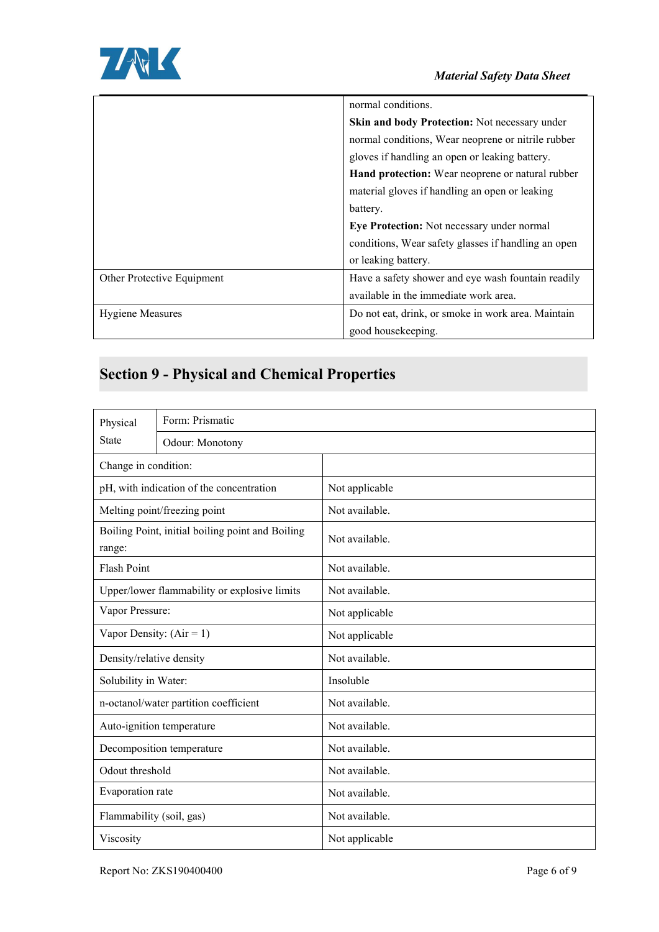

|                            | normal conditions.                                  |
|----------------------------|-----------------------------------------------------|
|                            | Skin and body Protection: Not necessary under       |
|                            | normal conditions, Wear neoprene or nitrile rubber  |
|                            | gloves if handling an open or leaking battery.      |
|                            | Hand protection: Wear neoprene or natural rubber    |
|                            | material gloves if handling an open or leaking      |
|                            | battery.                                            |
|                            | <b>Eye Protection:</b> Not necessary under normal   |
|                            | conditions, Wear safety glasses if handling an open |
|                            | or leaking battery.                                 |
| Other Protective Equipment | Have a safety shower and eye wash fountain readily  |
|                            | available in the immediate work area.               |
| <b>Hygiene Measures</b>    | Do not eat, drink, or smoke in work area. Maintain  |
|                            | good housekeeping.                                  |
|                            |                                                     |

# **Section 9 - Physical and Chemical Properties**

| Physical                                                   | Form: Prismatic |                |  |
|------------------------------------------------------------|-----------------|----------------|--|
| <b>State</b>                                               | Odour: Monotony |                |  |
| Change in condition:                                       |                 |                |  |
| pH, with indication of the concentration                   |                 | Not applicable |  |
| Melting point/freezing point                               |                 | Not available. |  |
| Boiling Point, initial boiling point and Boiling<br>range: |                 | Not available. |  |
| Flash Point                                                |                 | Not available. |  |
| Upper/lower flammability or explosive limits               |                 | Not available. |  |
| Vapor Pressure:                                            |                 | Not applicable |  |
| Vapor Density: $(Air = 1)$                                 |                 | Not applicable |  |
| Density/relative density                                   |                 | Not available. |  |
| Solubility in Water:                                       |                 | Insoluble      |  |
| n-octanol/water partition coefficient                      |                 | Not available. |  |
| Auto-ignition temperature                                  |                 | Not available. |  |
| Decomposition temperature                                  |                 | Not available. |  |
| Odout threshold                                            |                 | Not available. |  |
| Evaporation rate                                           |                 | Not available. |  |
| Flammability (soil, gas)                                   |                 | Not available. |  |
| Viscosity                                                  |                 | Not applicable |  |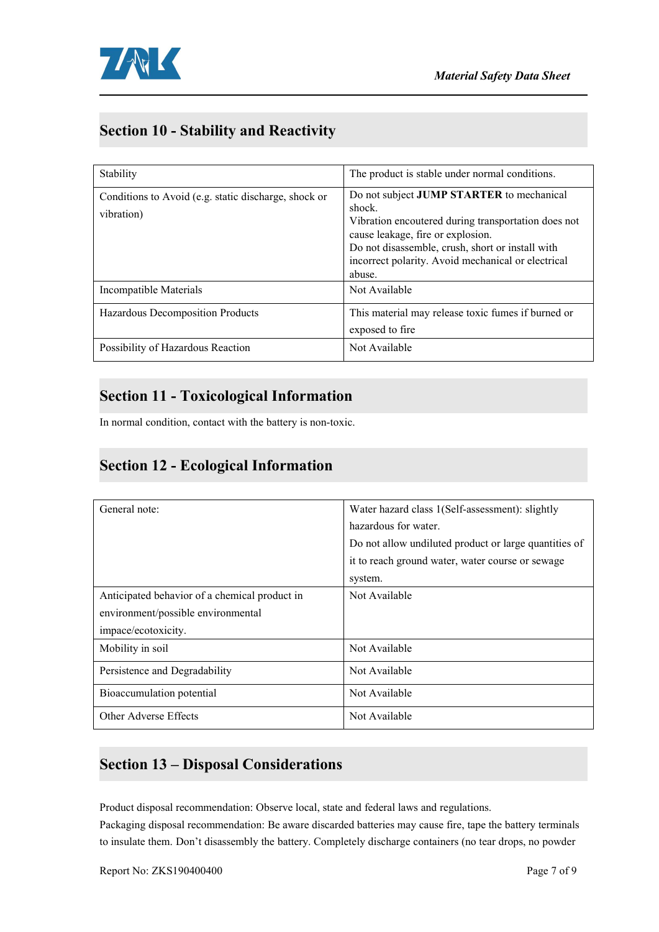

## **Section 10 - Stability and Reactivity**

| Stability                                                          | The product is stable under normal conditions.                                                                                                                                                                                                                      |
|--------------------------------------------------------------------|---------------------------------------------------------------------------------------------------------------------------------------------------------------------------------------------------------------------------------------------------------------------|
| Conditions to Avoid (e.g. static discharge, shock or<br>vibration) | Do not subject JUMP STARTER to mechanical<br>shock.<br>Vibration encoutered during transportation does not<br>cause leakage, fire or explosion.<br>Do not disassemble, crush, short or install with<br>incorrect polarity. Avoid mechanical or electrical<br>abuse. |
| Incompatible Materials                                             | Not Available                                                                                                                                                                                                                                                       |
| Hazardous Decomposition Products                                   | This material may release toxic fumes if burned or<br>exposed to fire                                                                                                                                                                                               |
| Possibility of Hazardous Reaction                                  | Not Available                                                                                                                                                                                                                                                       |

#### **Section 11 - Toxicological Information**

In normal condition, contact with the battery is non-toxic.

#### **Section 12 - Ecological Information**

| General note:                                 | Water hazard class 1(Self-assessment): slightly<br>hazardous for water.<br>Do not allow undiluted product or large quantities of<br>it to reach ground water, water course or sewage<br>system. |
|-----------------------------------------------|-------------------------------------------------------------------------------------------------------------------------------------------------------------------------------------------------|
| Anticipated behavior of a chemical product in | Not Available                                                                                                                                                                                   |
| environment/possible environmental            |                                                                                                                                                                                                 |
| impace/ecotoxicity.                           |                                                                                                                                                                                                 |
| Mobility in soil                              | Not Available                                                                                                                                                                                   |
| Persistence and Degradability                 | Not Available                                                                                                                                                                                   |
| Bioaccumulation potential                     | Not Available                                                                                                                                                                                   |
| Other Adverse Effects                         | Not Available                                                                                                                                                                                   |

### **Section 13 – Disposal Considerations**

Product disposal recommendation: Observe local, state and federal laws and regulations.

Packaging disposal recommendation: Be aware discarded batteries may cause fire, tape the battery terminals to insulate them. Don't disassembly the battery.Completely discharge containers (no tear drops, no powder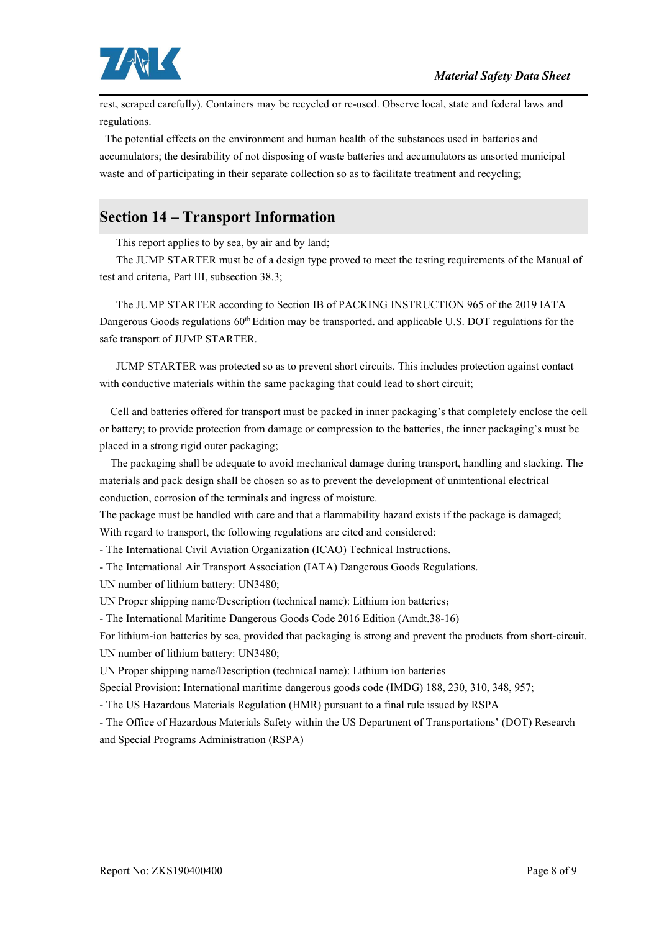

rest, scraped carefully). Containers may be recycled or re-used. Observe local, state and federal laws and regulations.

The potential effects on the environment and human health of the substances used in batteries and accumulators; the desirability of not disposing of waste batteries and accumulators as unsorted municipal waste and of participating in their separate collection so as to facilitate treatment and recycling;

### **Section 14 – Transport Information**

This report applies to by sea, by air and by land;

The JUMP STARTER must be of a design type proved to meet the testing requirements ofthe Manual of test and criteria, Part III, subsection 38.3;

The JUMP STARTER according to Section IB of PACKING INSTRUCTION 965 of the 2019 IATA Dangerous Goods regulations  $60<sup>th</sup>$  Edition may be transported. and applicable U.S. DOT regulations for the safe transport of JUMP STARTER.

JUMP STARTER was protected so as to prevent short circuits. This includes protection against contact with conductive materials within the same packaging that could lead to short circuit;

Cell and batteries offered for transport must be packed in inner packaging's that completely enclose the cell or battery; to provide protection from damage or compression to the batteries, the inner packaging's must be placed in a strong rigid outer packaging;

The packaging shall be adequate to avoid mechanical damage during transport, handling and stacking. The materials and pack design shall be chosen so as to prevent the development of unintentional electrical conduction, corrosion of the terminals and ingress of moisture.

The package must be handled with care and that a flammability hazard exists if the package is damaged; With regard to transport, the following regulations are cited and considered:

- The International Civil Aviation Organization (ICAO) Technical Instructions.

- The International Air Transport Association (IATA) Dangerous Goods Regulations.

UN number of lithium battery: UN3480;

UN Proper shipping name/Description (technical name): Lithium ion batteries;

- The International Maritime Dangerous Goods Code 2016 Edition (Amdt.38-16)

For lithium-ion batteries by sea, provided that packaging is strong and prevent the products from short-circuit. UN number of lithium battery: UN3480;

UN Proper shipping name/Description (technical name): Lithium ion batteries

Special Provision: International maritime dangerous goods code (IMDG) 188, 230, 310, 348, 957;

- The US Hazardous Materials Regulation (HMR) pursuant to a final rule issued by RSPA

- The Office of Hazardous Materials Safety within the US Department of Transportations' (DOT) Research and Special Programs Administration (RSPA)